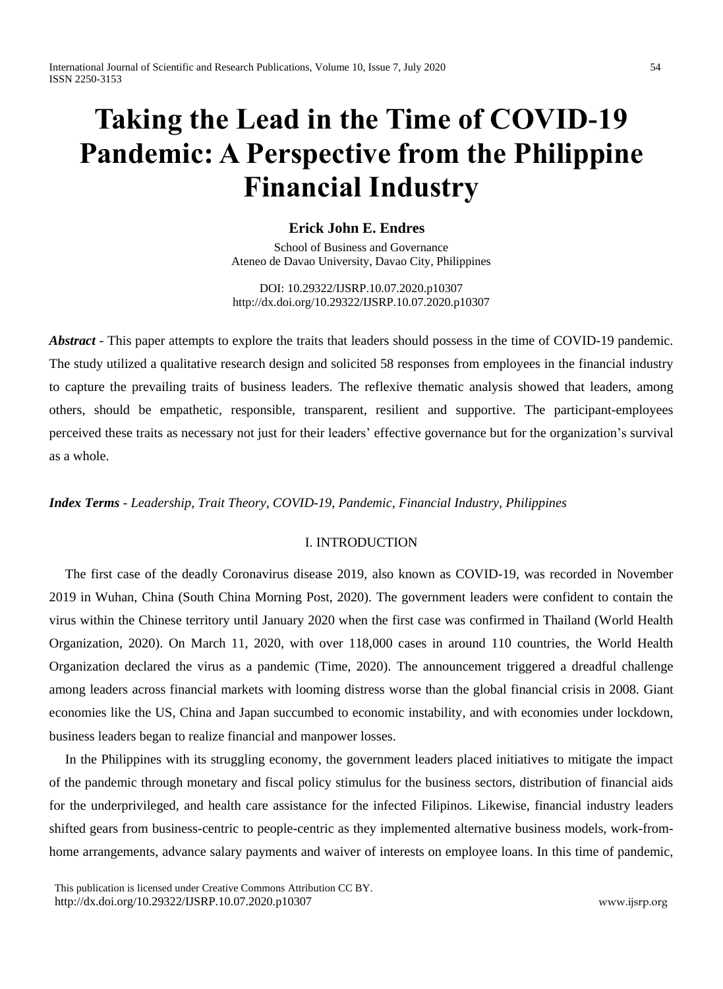# **Taking the Lead in the Time of COVID-19 Pandemic: A Perspective from the Philippine Financial Industry**

# **Erick John E. Endres**

School of Business and Governance Ateneo de Davao University, Davao City, Philippines

DOI: 10.29322/IJSRP.10.07.2020.p10307 <http://dx.doi.org/10.29322/IJSRP.10.07.2020.p10307>

*Abstract* - This paper attempts to explore the traits that leaders should possess in the time of COVID-19 pandemic. The study utilized a qualitative research design and solicited 58 responses from employees in the financial industry to capture the prevailing traits of business leaders. The reflexive thematic analysis showed that leaders, among others, should be empathetic, responsible, transparent, resilient and supportive. The participant-employees perceived these traits as necessary not just for their leaders' effective governance but for the organization's survival as a whole.

# *Index Terms - Leadership, Trait Theory, COVID-19, Pandemic, Financial Industry, Philippines*

# I. INTRODUCTION

The first case of the deadly Coronavirus disease 2019, also known as COVID-19, was recorded in November 2019 in Wuhan, China (South China Morning Post, 2020). The government leaders were confident to contain the virus within the Chinese territory until January 2020 when the first case was confirmed in Thailand (World Health Organization, 2020). On March 11, 2020, with over 118,000 cases in around 110 countries, the World Health Organization declared the virus as a pandemic (Time, 2020). The announcement triggered a dreadful challenge among leaders across financial markets with looming distress worse than the global financial crisis in 2008. Giant economies like the US, China and Japan succumbed to economic instability, and with economies under lockdown, business leaders began to realize financial and manpower losses.

In the Philippines with its struggling economy, the government leaders placed initiatives to mitigate the impact of the pandemic through monetary and fiscal policy stimulus for the business sectors, distribution of financial aids for the underprivileged, and health care assistance for the infected Filipinos. Likewise, financial industry leaders shifted gears from business-centric to people-centric as they implemented alternative business models, work-fromhome arrangements, advance salary payments and waiver of interests on employee loans. In this time of pandemic,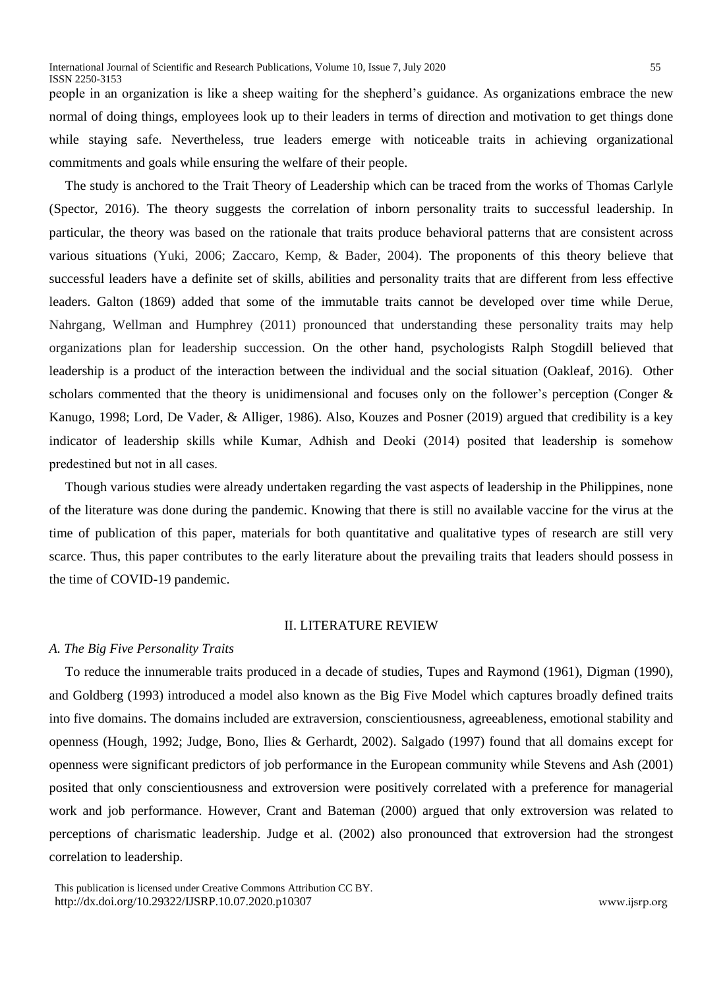people in an organization is like a sheep waiting for the shepherd's guidance. As organizations embrace the new normal of doing things, employees look up to their leaders in terms of direction and motivation to get things done while staying safe. Nevertheless, true leaders emerge with noticeable traits in achieving organizational commitments and goals while ensuring the welfare of their people.

The study is anchored to the Trait Theory of Leadership which can be traced from the works of Thomas Carlyle (Spector, 2016). The theory suggests the correlation of inborn personality traits to successful leadership. In particular, the theory was based on the rationale that traits produce behavioral patterns that are consistent across various situations (Yuki, 2006; Zaccaro, Kemp, & Bader, 2004). The proponents of this theory believe that successful leaders have a definite set of skills, abilities and personality traits that are different from less effective leaders. Galton (1869) added that some of the immutable traits cannot be developed over time while Derue, Nahrgang, Wellman and Humphrey (2011) pronounced that understanding these personality traits may help organizations plan for leadership succession. On the other hand, psychologists Ralph Stogdill believed that leadership is a product of the interaction between the individual and the social situation (Oakleaf, 2016). Other scholars commented that the theory is unidimensional and focuses only on the follower's perception (Conger & Kanugo, 1998; Lord, De Vader, & Alliger, 1986). Also, Kouzes and Posner (2019) argued that credibility is a key indicator of leadership skills while Kumar, Adhish and Deoki (2014) posited that leadership is somehow predestined but not in all cases.

Though various studies were already undertaken regarding the vast aspects of leadership in the Philippines, none of the literature was done during the pandemic. Knowing that there is still no available vaccine for the virus at the time of publication of this paper, materials for both quantitative and qualitative types of research are still very scarce. Thus, this paper contributes to the early literature about the prevailing traits that leaders should possess in the time of COVID-19 pandemic.

## II. LITERATURE REVIEW

# *A. The Big Five Personality Traits*

To reduce the innumerable traits produced in a decade of studies, Tupes and Raymond (1961), Digman (1990), and Goldberg (1993) introduced a model also known as the Big Five Model which captures broadly defined traits into five domains. The domains included are extraversion, conscientiousness, agreeableness, emotional stability and openness (Hough, 1992; Judge, Bono, Ilies & Gerhardt, 2002). Salgado (1997) found that all domains except for openness were significant predictors of job performance in the European community while Stevens and Ash (2001) posited that only conscientiousness and extroversion were positively correlated with a preference for managerial work and job performance. However, Crant and Bateman (2000) argued that only extroversion was related to perceptions of charismatic leadership. Judge et al. (2002) also pronounced that extroversion had the strongest correlation to leadership.

This publication is licensed under Creative Commons Attribution CC BY. <http://dx.doi.org/10.29322/IJSRP.10.07.2020.p10307>[www.ijsrp.org](http://ijsrp.org/)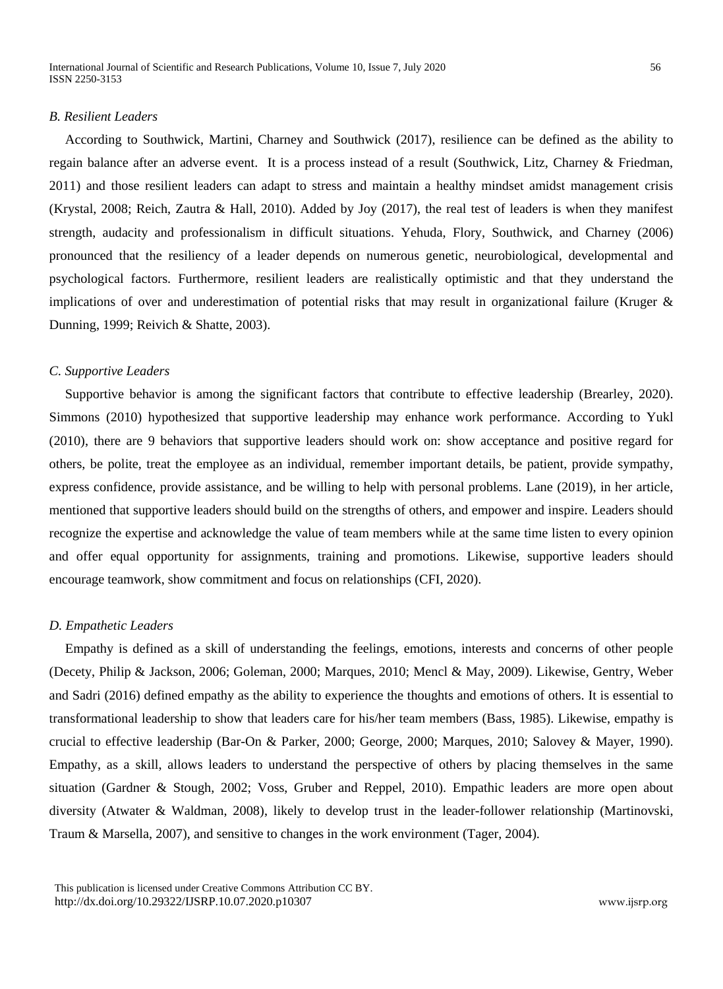International Journal of Scientific and Research Publications, Volume 10, Issue 7, July 2020 56 ISSN 2250-3153

## *B. Resilient Leaders*

According to Southwick, Martini, Charney and Southwick (2017), resilience can be defined as the ability to regain balance after an adverse event. It is a process instead of a result (Southwick, Litz, Charney & Friedman, 2011) and those resilient leaders can adapt to stress and maintain a healthy mindset amidst management crisis (Krystal, 2008; Reich, Zautra & Hall, 2010). Added by Joy (2017), the real test of leaders is when they manifest strength, audacity and professionalism in difficult situations. Yehuda, Flory, Southwick, and Charney (2006) pronounced that the resiliency of a leader depends on numerous genetic, neurobiological, developmental and psychological factors. Furthermore, resilient leaders are realistically optimistic and that they understand the implications of over and underestimation of potential risks that may result in organizational failure (Kruger & Dunning, 1999; Reivich & Shatte, 2003).

#### *C. Supportive Leaders*

Supportive behavior is among the significant factors that contribute to effective leadership (Brearley, 2020). Simmons (2010) hypothesized that supportive leadership may enhance work performance. According to Yukl (2010), there are 9 behaviors that supportive leaders should work on: show acceptance and positive regard for others, be polite, treat the employee as an individual, remember important details, be patient, provide sympathy, express confidence, provide assistance, and be willing to help with personal problems. Lane (2019), in her article, mentioned that supportive leaders should build on the strengths of others, and empower and inspire. Leaders should recognize the expertise and acknowledge the value of team members while at the same time listen to every opinion and offer equal opportunity for assignments, training and promotions. Likewise, supportive leaders should encourage teamwork, show commitment and focus on relationships (CFI, 2020).

# *D. Empathetic Leaders*

Empathy is defined as a skill of understanding the feelings, emotions, interests and concerns of other people (Decety, Philip & Jackson, 2006; Goleman, 2000; Marques, 2010; Mencl & May, 2009). Likewise, Gentry, Weber and Sadri (2016) defined empathy as the ability to experience the thoughts and emotions of others. It is essential to transformational leadership to show that leaders care for his/her team members (Bass, 1985). Likewise, empathy is crucial to effective leadership (Bar-On & Parker, 2000; George, 2000; Marques, 2010; Salovey & Mayer, 1990). Empathy, as a skill, allows leaders to understand the perspective of others by placing themselves in the same situation (Gardner & Stough, 2002; Voss, Gruber and Reppel, 2010). Empathic leaders are more open about diversity (Atwater & Waldman, 2008), likely to develop trust in the leader-follower relationship (Martinovski, Traum & Marsella, 2007), and sensitive to changes in the work environment (Tager, 2004).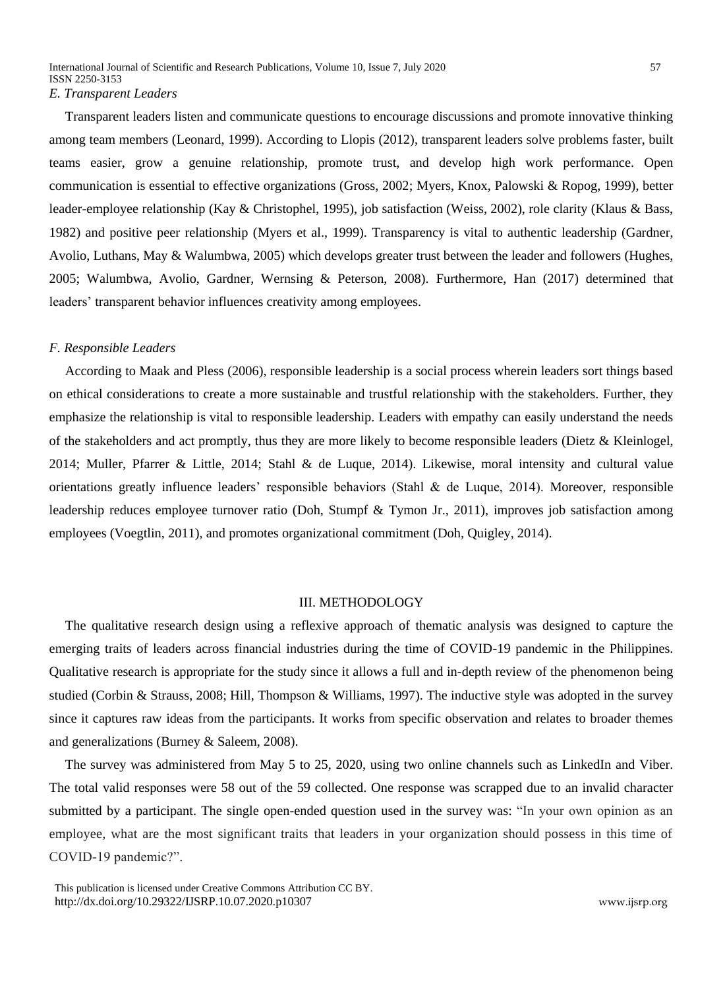Transparent leaders listen and communicate questions to encourage discussions and promote innovative thinking among team members (Leonard, 1999). According to Llopis (2012), transparent leaders solve problems faster, built teams easier, grow a genuine relationship, promote trust, and develop high work performance. Open communication is essential to effective organizations (Gross, 2002; Myers, Knox, Palowski & Ropog, 1999), better leader-employee relationship (Kay & Christophel, 1995), job satisfaction (Weiss, 2002), role clarity (Klaus & Bass, 1982) and positive peer relationship (Myers et al., 1999). Transparency is vital to authentic leadership (Gardner, Avolio, Luthans, May & Walumbwa, 2005) which develops greater trust between the leader and followers (Hughes, 2005; Walumbwa, Avolio, Gardner, Wernsing & Peterson, 2008). Furthermore, Han (2017) determined that leaders' transparent behavior influences creativity among employees.

#### *F. Responsible Leaders*

According to Maak and Pless (2006), responsible leadership is a social process wherein leaders sort things based on ethical considerations to create a more sustainable and trustful relationship with the stakeholders. Further, they emphasize the relationship is vital to responsible leadership. Leaders with empathy can easily understand the needs of the stakeholders and act promptly, thus they are more likely to become responsible leaders (Dietz & Kleinlogel, 2014; Muller, Pfarrer & Little, 2014; Stahl & de Luque, 2014). Likewise, moral intensity and cultural value orientations greatly influence leaders' responsible behaviors (Stahl & de Luque, 2014). Moreover, responsible leadership reduces employee turnover ratio (Doh, Stumpf & Tymon Jr., 2011), improves job satisfaction among employees (Voegtlin, 2011), and promotes organizational commitment (Doh, Quigley, 2014).

## III. METHODOLOGY

The qualitative research design using a reflexive approach of thematic analysis was designed to capture the emerging traits of leaders across financial industries during the time of COVID-19 pandemic in the Philippines. Qualitative research is appropriate for the study since it allows a full and in-depth review of the phenomenon being studied (Corbin & Strauss, 2008; Hill, Thompson & Williams, 1997). The inductive style was adopted in the survey since it captures raw ideas from the participants. It works from specific observation and relates to broader themes and generalizations (Burney & Saleem, 2008).

The survey was administered from May 5 to 25, 2020, using two online channels such as LinkedIn and Viber. The total valid responses were 58 out of the 59 collected. One response was scrapped due to an invalid character submitted by a participant. The single open-ended question used in the survey was: "In your own opinion as an employee, what are the most significant traits that leaders in your organization should possess in this time of COVID-19 pandemic?".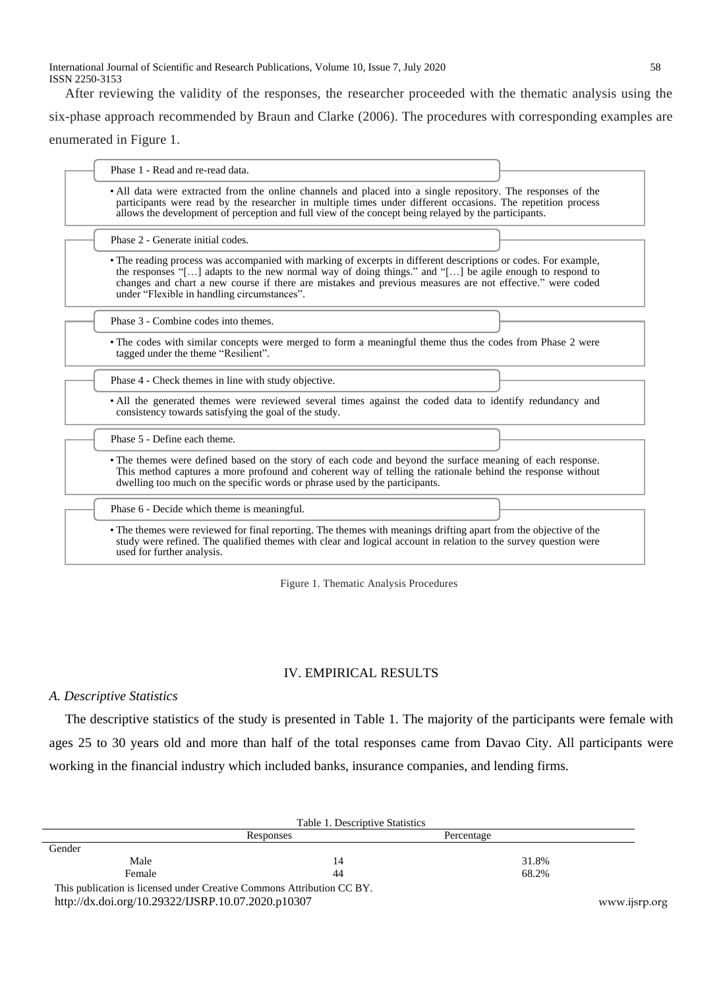International Journal of Scientific and Research Publications, Volume 10, Issue 7, July 2020 58 ISSN 2250-3153

After reviewing the validity of the responses, the researcher proceeded with the thematic analysis using the six-phase approach recommended by Braun and Clarke (2006). The procedures with corresponding examples are enumerated in Figure 1.

• All data were extracted from the online channels and placed into a single repository. The responses of the participants were read by the researcher in multiple times under different occasions. The repetition process allows the development of perception and full view of the concept being relayed by the participants. Phase 1 - Read and re-read data. • The reading process was accompanied with marking of excerpts in different descriptions or codes. For example, the responses "[…] adapts to the new normal way of doing things." and "[…] be agile enough to respond to changes and chart a new course if there are mistakes and previous measures are not effective." were coded under "Flexible in handling circumstances". Phase 2 - Generate initial codes. • The codes with similar concepts were merged to form a meaningful theme thus the codes from Phase 2 were tagged under the theme "Resilient". Phase 3 - Combine codes into themes. • All the generated themes were reviewed several times against the coded data to identify redundancy and consistency towards satisfying the goal of the study. Phase 4 - Check themes in line with study objective. • The themes were defined based on the story of each code and beyond the surface meaning of each response. This method captures a more profound and coherent way of telling the rationale behind the response without dwelling too much on the specific words or phrase used by the participants. Phase 5 - Define each theme. • The themes were reviewed for final reporting. The themes with meanings drifting apart from the objective of the study were refined. The qualified themes with clear and logical account in relation to the survey question were used for further analysis. Phase 6 - Decide which theme is meaningful.

Figure 1. Thematic Analysis Procedures

# IV. EMPIRICAL RESULTS

# *A. Descriptive Statistics*

The descriptive statistics of the study is presented in Table 1. The majority of the participants were female with ages 25 to 30 years old and more than half of the total responses came from Davao City. All participants were working in the financial industry which included banks, insurance companies, and lending firms.

|                                                                        | Table 1. Descriptive Statistics |            |  |
|------------------------------------------------------------------------|---------------------------------|------------|--|
|                                                                        | Responses                       | Percentage |  |
| Gender                                                                 |                                 |            |  |
| Male                                                                   | 14                              | 31.8%      |  |
| Female                                                                 | 44                              | 68.2%      |  |
| This publication is licensed under Creative Commons Attribution CC BY. |                                 |            |  |

<http://dx.doi.org/10.29322/IJSRP.10.07.2020.p10307>[www.ijsrp.org](http://ijsrp.org/)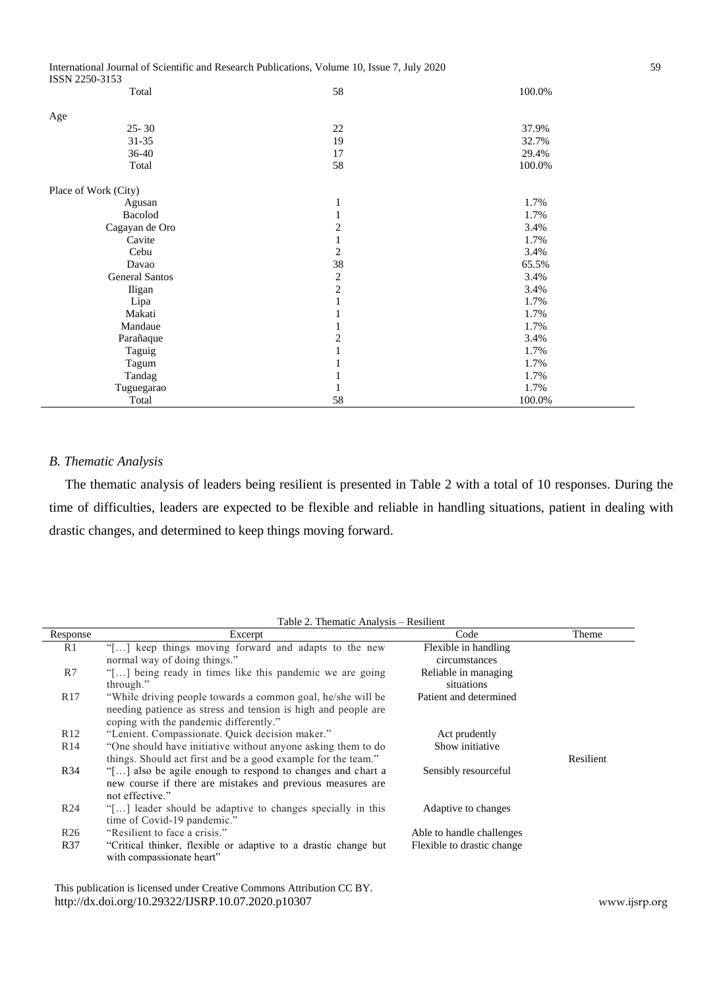International Journal of Scientific and Research Publications, Volume 10, Issue 7, July 2020 59 ISSN 2250-3153

| Total                 | 58             | 100.0% |
|-----------------------|----------------|--------|
| Age                   |                |        |
| $25 - 30$             | 22             | 37.9%  |
| $31 - 35$             | 19             | 32.7%  |
| $36 - 40$             | 17             | 29.4%  |
| Total                 | 58             | 100.0% |
| Place of Work (City)  |                |        |
| Agusan                | 1              | 1.7%   |
| Bacolod               | 1              | 1.7%   |
| Cagayan de Oro        | $\mathfrak{2}$ | 3.4%   |
| Cavite                | 1              | 1.7%   |
| Cebu                  | $\mathfrak{2}$ | 3.4%   |
| Davao                 | 38             | 65.5%  |
| <b>General Santos</b> | $\sqrt{2}$     | 3.4%   |
| Iligan                | $\overline{c}$ | 3.4%   |
| Lipa                  | 1              | 1.7%   |
| Makati                | 1              | 1.7%   |
| Mandaue               | 1              | 1.7%   |
| Parañaque             | $\mathfrak{2}$ | 3.4%   |
| Taguig                | $\mathbf{1}$   | 1.7%   |
| Tagum                 | 1              | 1.7%   |
| Tandag                | 1              | 1.7%   |
| Tuguegarao            | 1              | 1.7%   |
| Total                 | 58             | 100.0% |

# *B. Thematic Analysis*

The thematic analysis of leaders being resilient is presented in Table 2 with a total of 10 responses. During the time of difficulties, leaders are expected to be flexible and reliable in handling situations, patient in dealing with drastic changes, and determined to keep things moving forward.

| Response        | Excerpt                                                                                                                                                                | Code                                  | Theme     |
|-----------------|------------------------------------------------------------------------------------------------------------------------------------------------------------------------|---------------------------------------|-----------|
| R1              | "[] keep things moving forward and adapts to the new<br>normal way of doing things."                                                                                   | Flexible in handling<br>circumstances |           |
| R7              | "[] being ready in times like this pandemic we are going<br>through."                                                                                                  | Reliable in managing<br>situations    |           |
| R <sub>17</sub> | "While driving people towards a common goal, he/she will be<br>needing patience as stress and tension is high and people are<br>coping with the pandemic differently." | Patient and determined                |           |
| R <sub>12</sub> | "Lenient. Compassionate. Quick decision maker."                                                                                                                        | Act prudently                         |           |
| R14             | "One should have initiative without anyone asking them to do<br>things. Should act first and be a good example for the team."                                          | Show initiative                       | Resilient |
| R <sub>34</sub> | "[] also be agile enough to respond to changes and chart a<br>new course if there are mistakes and previous measures are<br>not effective."                            | Sensibly resourceful                  |           |
| R <sub>24</sub> | "[] leader should be adaptive to changes specially in this<br>time of Covid-19 pandemic."                                                                              | Adaptive to changes                   |           |
| R <sub>26</sub> | "Resilient to face a crisis."                                                                                                                                          | Able to handle challenges             |           |
| R37             | "Critical thinker, flexible or adaptive to a drastic change but<br>with compassionate heart"                                                                           | Flexible to drastic change            |           |

 This publication is licensed under Creative Commons Attribution CC BY. <http://dx.doi.org/10.29322/IJSRP.10.07.2020.p10307>[www.ijsrp.org](http://ijsrp.org/)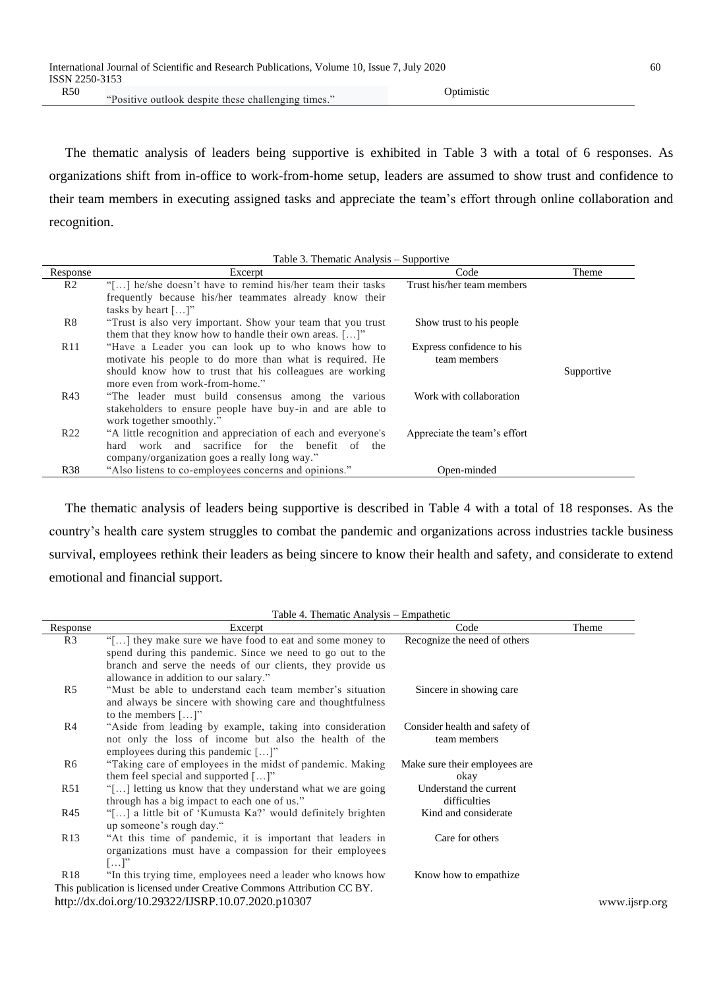"Positive outlook despite these challenging times."

The thematic analysis of leaders being supportive is exhibited in Table 3 with a total of 6 responses. As organizations shift from in-office to work-from-home setup, leaders are assumed to show trust and confidence to their team members in executing assigned tasks and appreciate the team's effort through online collaboration and recognition.

| Response        | Excerpt                                                        | <b>FF</b><br>Code            | Theme      |
|-----------------|----------------------------------------------------------------|------------------------------|------------|
| R <sub>2</sub>  | "[] he/she doesn't have to remind his/her team their tasks     | Trust his/her team members   |            |
|                 | frequently because his/her teammates already know their        |                              |            |
|                 | tasks by heart $[\dots]$ "                                     |                              |            |
| R8              | "Trust is also very important. Show your team that you trust   | Show trust to his people.    |            |
|                 | them that they know how to handle their own areas. $[\dots]$ " |                              |            |
| R11             | "Have a Leader you can look up to who knows how to             | Express confidence to his    |            |
|                 | motivate his people to do more than what is required. He       | team members                 |            |
|                 | should know how to trust that his colleagues are working       |                              | Supportive |
|                 | more even from work-from-home."                                |                              |            |
| R43             | "The leader must build consensus among the various"            | Work with collaboration      |            |
|                 | stakeholders to ensure people have buy-in and are able to      |                              |            |
|                 | work together smoothly."                                       |                              |            |
| R <sub>22</sub> | "A little recognition and appreciation of each and everyone's  | Appreciate the team's effort |            |
|                 | work and sacrifice for the benefit of the<br>hard              |                              |            |
|                 | company/organization goes a really long way."                  |                              |            |
| <b>R38</b>      | "Also listens to co-employees concerns and opinions."          | Open-minded                  |            |

The thematic analysis of leaders being supportive is described in Table 4 with a total of 18 responses. As the country's health care system struggles to combat the pandemic and organizations across industries tackle business survival, employees rethink their leaders as being sincere to know their health and safety, and considerate to extend emotional and financial support.

Table 4. Thematic Analysis – Empathetic

| Response        | Excerpt                                                                | Code                          | Theme         |
|-----------------|------------------------------------------------------------------------|-------------------------------|---------------|
| R <sub>3</sub>  | "[] they make sure we have food to eat and some money to               | Recognize the need of others  |               |
|                 | spend during this pandemic. Since we need to go out to the             |                               |               |
|                 | branch and serve the needs of our clients, they provide us             |                               |               |
|                 | allowance in addition to our salary."                                  |                               |               |
| R <sub>5</sub>  | "Must be able to understand each team member's situation               | Sincere in showing care       |               |
|                 | and always be sincere with showing care and thoughtfulness             |                               |               |
|                 | to the members $[\dots]$ "                                             |                               |               |
| R4              | "Aside from leading by example, taking into consideration              | Consider health and safety of |               |
|                 | not only the loss of income but also the health of the                 | team members                  |               |
|                 | employees during this pandemic $[\dots]$ "                             |                               |               |
| R6              | "Taking care of employees in the midst of pandemic. Making             | Make sure their employees are |               |
|                 | them feel special and supported $[\dots]$ "                            | okay                          |               |
| R51             | "[] letting us know that they understand what we are going             | Understand the current        |               |
|                 | through has a big impact to each one of us."                           | difficulties                  |               |
| R45             | "[] a little bit of 'Kumusta Ka?' would definitely brighten            | Kind and considerate          |               |
|                 | up someone's rough day."                                               |                               |               |
| R <sub>13</sub> | "At this time of pandemic, it is important that leaders in             | Care for others               |               |
|                 | organizations must have a compassion for their employees               |                               |               |
|                 | $[]$ "                                                                 |                               |               |
| R <sub>18</sub> | "In this trying time, employees need a leader who knows how            | Know how to empathize         |               |
|                 | This publication is licensed under Creative Commons Attribution CC BY. |                               |               |
|                 | http://dx.doi.org/10.29322/IJSRP.10.07.2020.p10307                     |                               | www.ijsrp.org |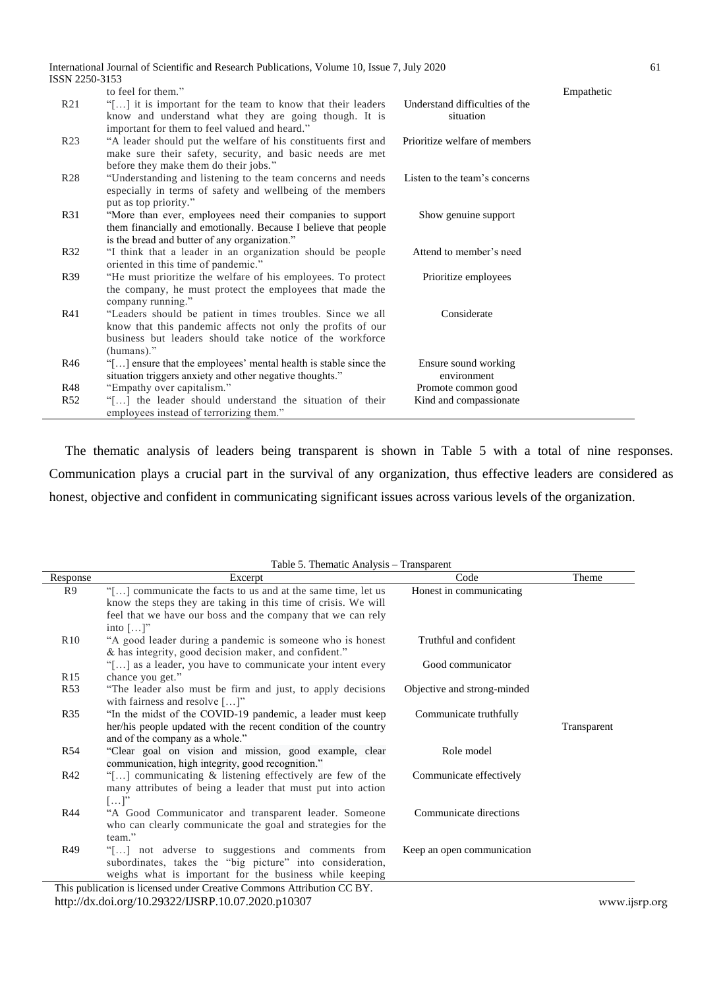|                 | International Journal of Scientific and Research Publications, Volume 10, Issue 7, July 2020                            |                                |            | 61 |
|-----------------|-------------------------------------------------------------------------------------------------------------------------|--------------------------------|------------|----|
| ISSN 2250-3153  |                                                                                                                         |                                |            |    |
|                 | to feel for them."                                                                                                      |                                | Empathetic |    |
| R <sub>21</sub> | "[] it is important for the team to know that their leaders                                                             | Understand difficulties of the |            |    |
|                 | know and understand what they are going though. It is                                                                   | situation                      |            |    |
|                 | important for them to feel valued and heard."                                                                           |                                |            |    |
| R <sub>23</sub> | "A leader should put the welfare of his constituents first and                                                          | Prioritize welfare of members  |            |    |
|                 | make sure their safety, security, and basic needs are met                                                               |                                |            |    |
|                 | before they make them do their jobs."                                                                                   |                                |            |    |
| R <sub>28</sub> | "Understanding and listening to the team concerns and needs                                                             | Listen to the team's concerns  |            |    |
|                 | especially in terms of safety and wellbeing of the members                                                              |                                |            |    |
|                 | put as top priority."                                                                                                   |                                |            |    |
| R31             | "More than ever, employees need their companies to support                                                              | Show genuine support           |            |    |
|                 | them financially and emotionally. Because I believe that people                                                         |                                |            |    |
|                 | is the bread and butter of any organization."                                                                           |                                |            |    |
| R32             | "I think that a leader in an organization should be people                                                              | Attend to member's need        |            |    |
|                 | oriented in this time of pandemic."                                                                                     |                                |            |    |
| R39             | "He must prioritize the welfare of his employees. To protect                                                            | Prioritize employees           |            |    |
|                 | the company, he must protect the employees that made the                                                                |                                |            |    |
| R41             | company running."                                                                                                       | Considerate                    |            |    |
|                 | "Leaders should be patient in times troubles. Since we all                                                              |                                |            |    |
|                 | know that this pandemic affects not only the profits of our<br>business but leaders should take notice of the workforce |                                |            |    |
|                 | $(humans)$ ."                                                                                                           |                                |            |    |
| R46             | "[] ensure that the employees' mental health is stable since the                                                        | Ensure sound working           |            |    |
|                 | situation triggers anxiety and other negative thoughts."                                                                | environment                    |            |    |
| R48             | "Empathy over capitalism."                                                                                              | Promote common good            |            |    |
| R <sub>52</sub> | "[] the leader should understand the situation of their                                                                 | Kind and compassionate         |            |    |
|                 | employees instead of terrorizing them."                                                                                 |                                |            |    |
|                 |                                                                                                                         |                                |            |    |

The thematic analysis of leaders being transparent is shown in Table 5 with a total of nine responses. Communication plays a crucial part in the survival of any organization, thus effective leaders are considered as honest, objective and confident in communicating significant issues across various levels of the organization.

|                 | Table 5. Thematic Analysis – Transparent                               |                             |             |
|-----------------|------------------------------------------------------------------------|-----------------------------|-------------|
| Response        | Excerpt                                                                | Code                        | Theme       |
| R9              | "[] communicate the facts to us and at the same time, let us           | Honest in communicating     |             |
|                 | know the steps they are taking in this time of crisis. We will         |                             |             |
|                 | feel that we have our boss and the company that we can rely            |                             |             |
|                 | into $[\dots]$ "                                                       |                             |             |
| R10             | "A good leader during a pandemic is someone who is honest              | Truthful and confident      |             |
|                 | & has integrity, good decision maker, and confident."                  |                             |             |
|                 | "[] as a leader, you have to communicate your intent every             | Good communicator           |             |
| R <sub>15</sub> | chance you get."                                                       |                             |             |
| R53             | "The leader also must be firm and just, to apply decisions"            | Objective and strong-minded |             |
|                 | with fairness and resolve $[\dots]$ "                                  |                             |             |
| R35             | "In the midst of the COVID-19 pandemic, a leader must keep             | Communicate truthfully      |             |
|                 | her/his people updated with the recent condition of the country        |                             | Transparent |
|                 | and of the company as a whole."                                        |                             |             |
| R54             | "Clear goal on vision and mission, good example, clear                 | Role model                  |             |
|                 | communication, high integrity, good recognition."                      |                             |             |
| R42             | "[] communicating & listening effectively are few of the               | Communicate effectively     |             |
|                 | many attributes of being a leader that must put into action            |                             |             |
|                 | $[\ldots]$ "                                                           |                             |             |
| R44             | "A Good Communicator and transparent leader. Someone                   | Communicate directions      |             |
|                 | who can clearly communicate the goal and strategies for the            |                             |             |
|                 | team."                                                                 |                             |             |
| R49             | "[] not adverse to suggestions and comments from                       | Keep an open communication  |             |
|                 | subordinates, takes the "big picture" into consideration,              |                             |             |
|                 | weighs what is important for the business while keeping                |                             |             |
|                 | This publication is licensed under Creative Commons Attribution CC BY. |                             |             |

<http://dx.doi.org/10.29322/IJSRP.10.07.2020.p10307>[www.ijsrp.org](http://ijsrp.org/)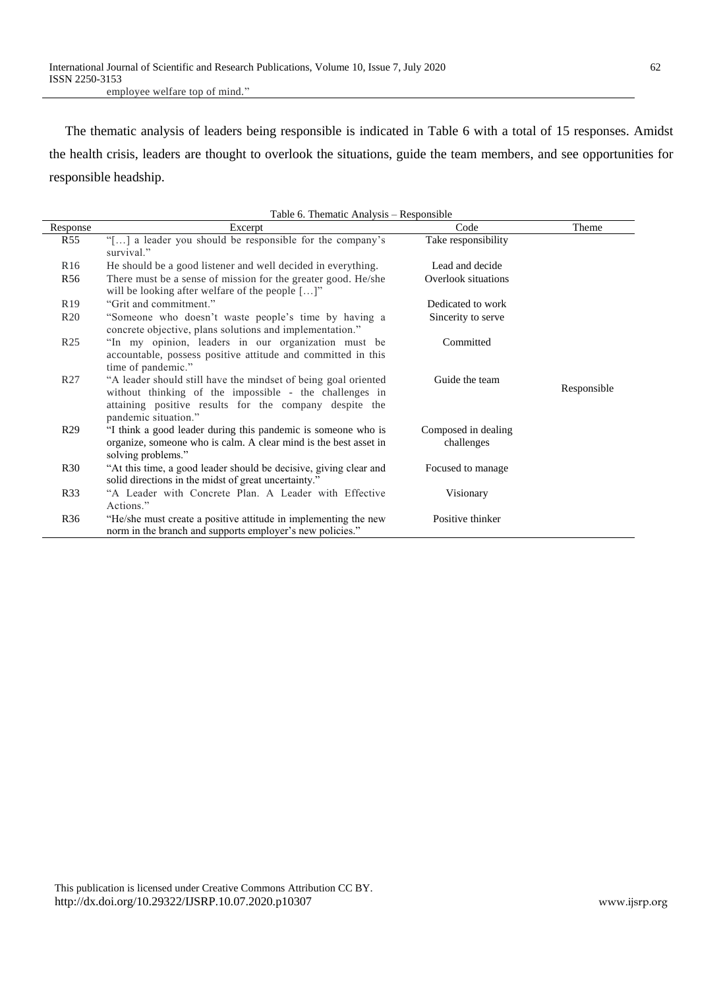employee welfare top of mind."

The thematic analysis of leaders being responsible is indicated in Table 6 with a total of 15 responses. Amidst the health crisis, leaders are thought to overlook the situations, guide the team members, and see opportunities for responsible headship.

Table 6. Thematic Analysis – Responsible

| Response        | $1,00000$ . The indice $1,00000$<br>Excerpt                                                                                                                                                                | Code                              | Theme       |
|-----------------|------------------------------------------------------------------------------------------------------------------------------------------------------------------------------------------------------------|-----------------------------------|-------------|
| R <sub>55</sub> | "[] a leader you should be responsible for the company's<br>survival."                                                                                                                                     | Take responsibility               |             |
| R <sub>16</sub> | He should be a good listener and well decided in everything.                                                                                                                                               | Lead and decide                   |             |
| R <sub>56</sub> | There must be a sense of mission for the greater good. He/she<br>will be looking after welfare of the people $[\dots]$ "                                                                                   | Overlook situations               |             |
| R <sub>19</sub> | "Grit and commitment."                                                                                                                                                                                     | Dedicated to work                 |             |
| R20             | "Someone who doesn't waste people's time by having a<br>concrete objective, plans solutions and implementation."                                                                                           | Sincerity to serve                |             |
| R <sub>25</sub> | "In my opinion, leaders in our organization must be<br>accountable, possess positive attitude and committed in this<br>time of pandemic."                                                                  | Committed                         |             |
| R <sub>27</sub> | "A leader should still have the mindset of being goal oriented<br>without thinking of the impossible - the challenges in<br>attaining positive results for the company despite the<br>pandemic situation." | Guide the team                    | Responsible |
| R <sub>29</sub> | "I think a good leader during this pandemic is someone who is<br>organize, someone who is calm. A clear mind is the best asset in<br>solving problems."                                                    | Composed in dealing<br>challenges |             |
| R <sub>30</sub> | "At this time, a good leader should be decisive, giving clear and<br>solid directions in the midst of great uncertainty."                                                                                  | Focused to manage                 |             |
| R33             | "A Leader with Concrete Plan. A Leader with Effective<br>Actions."                                                                                                                                         | Visionary                         |             |
| R <sub>36</sub> | "He/she must create a positive attitude in implementing the new<br>norm in the branch and supports employer's new policies."                                                                               | Positive thinker                  |             |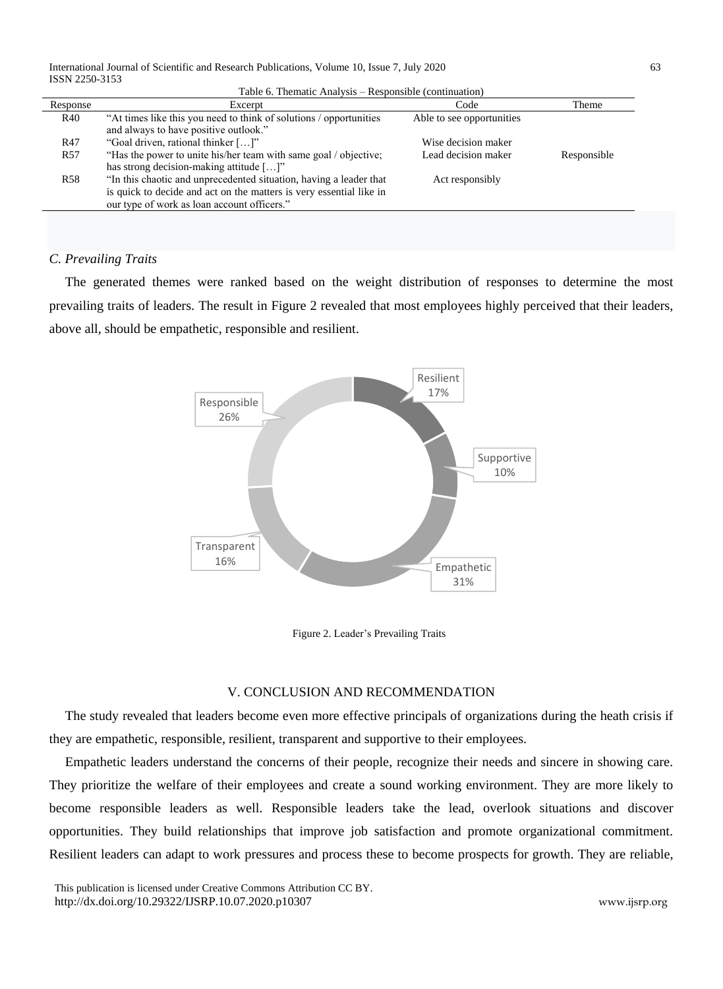| Table 6. Thematic Analysis – Responsible (continuation) |  |
|---------------------------------------------------------|--|
|---------------------------------------------------------|--|

| Response        | Excerpt                                                             | Code                       | Theme       |
|-----------------|---------------------------------------------------------------------|----------------------------|-------------|
| R40             | "At times like this you need to think of solutions / opportunities  | Able to see opportunities. |             |
|                 | and always to have positive outlook."                               |                            |             |
| R47             | "Goal driven, rational thinker []"                                  | Wise decision maker        |             |
| R <sub>57</sub> | "Has the power to unite his/her team with same goal / objective;    | Lead decision maker        | Responsible |
|                 | has strong decision-making attitude []"                             |                            |             |
| <b>R58</b>      | "In this chaotic and unprecedented situation, having a leader that  | Act responsibly            |             |
|                 | is quick to decide and act on the matters is very essential like in |                            |             |
|                 | our type of work as loan account officers."                         |                            |             |

# *C. Prevailing Traits*

The generated themes were ranked based on the weight distribution of responses to determine the most prevailing traits of leaders. The result in Figure 2 revealed that most employees highly perceived that their leaders, above all, should be empathetic, responsible and resilient.



Figure 2. Leader's Prevailing Traits

## V. CONCLUSION AND RECOMMENDATION

The study revealed that leaders become even more effective principals of organizations during the heath crisis if they are empathetic, responsible, resilient, transparent and supportive to their employees.

Empathetic leaders understand the concerns of their people, recognize their needs and sincere in showing care. They prioritize the welfare of their employees and create a sound working environment. They are more likely to become responsible leaders as well. Responsible leaders take the lead, overlook situations and discover opportunities. They build relationships that improve job satisfaction and promote organizational commitment. Resilient leaders can adapt to work pressures and process these to become prospects for growth. They are reliable,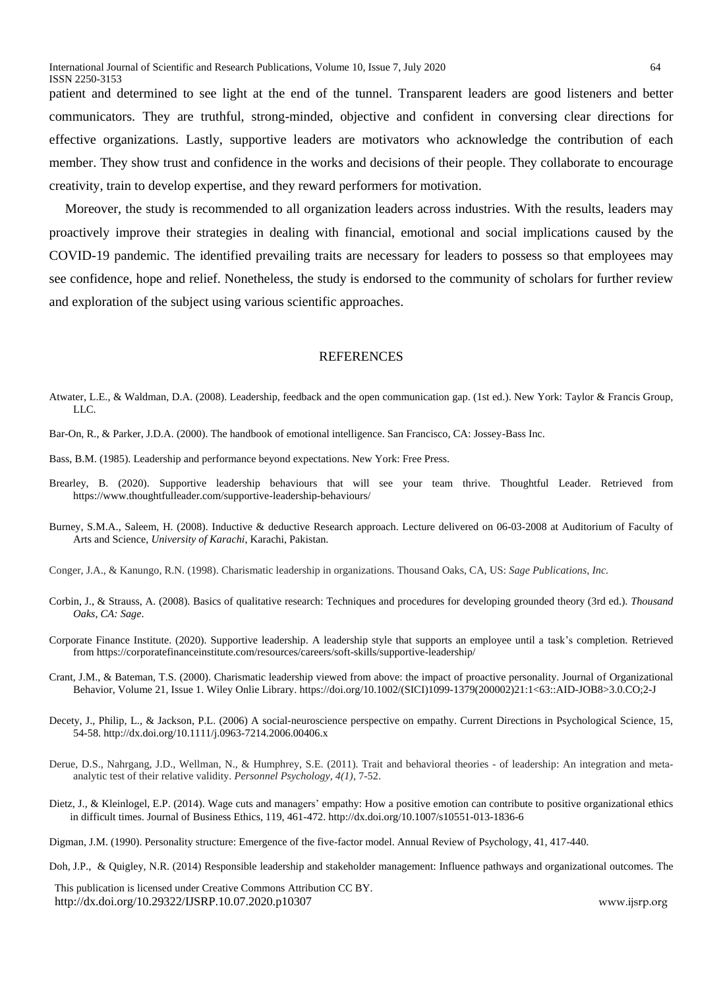patient and determined to see light at the end of the tunnel. Transparent leaders are good listeners and better communicators. They are truthful, strong-minded, objective and confident in conversing clear directions for effective organizations. Lastly, supportive leaders are motivators who acknowledge the contribution of each member. They show trust and confidence in the works and decisions of their people. They collaborate to encourage creativity, train to develop expertise, and they reward performers for motivation.

Moreover, the study is recommended to all organization leaders across industries. With the results, leaders may proactively improve their strategies in dealing with financial, emotional and social implications caused by the COVID-19 pandemic. The identified prevailing traits are necessary for leaders to possess so that employees may see confidence, hope and relief. Nonetheless, the study is endorsed to the community of scholars for further review and exploration of the subject using various scientific approaches.

## **REFERENCES**

- Atwater, L.E., & Waldman, D.A. (2008). Leadership, feedback and the open communication gap. (1st ed.). New York: Taylor & Francis Group, LLC.
- Bar-On, R., & Parker, J.D.A. (2000). The handbook of emotional intelligence. San Francisco, CA: Jossey-Bass Inc.
- Bass, B.M. (1985). Leadership and performance beyond expectations. New York: Free Press.
- Brearley, B. (2020). Supportive leadership behaviours that will see your team thrive. Thoughtful Leader. Retrieved from <https://www.thoughtfulleader.com/supportive-leadership-behaviours/>
- Burney, S.M.A., Saleem, H. (2008). Inductive & deductive Research approach. Lecture delivered on 06-03-2008 at Auditorium of Faculty of Arts and Science, *University of Karachi*, Karachi, Pakistan.

Conger, J.A., & Kanungo, R.N. (1998). Charismatic leadership in organizations. Thousand Oaks, CA, US: *Sage Publications, Inc.*

- Corbin, J., & Strauss, A. (2008). Basics of qualitative research: Techniques and procedures for developing grounded theory (3rd ed.). *Thousand Oaks, CA: Sage*.
- Corporate Finance Institute. (2020). Supportive leadership. A leadership style that supports an employee until a task's completion. Retrieved fro[m https://corporatefinanceinstitute.com/resources/careers/soft-skills/supportive-leadership/](https://corporatefinanceinstitute.com/resources/careers/soft-skills/supportive-leadership/)
- Crant, J.M., & Bateman, T.S. (2000). Charismatic leadership viewed from above: the impact of proactive personality. Journal of Organizational Behavior, Volume 21, Issue 1. Wiley Onlie Library. https://doi.org/10.1002/(SICI)1099-1379(200002)21:1<63::AID-JOB8>3.0.CO;2-J
- Decety, J., Philip, L., & Jackson, P.L. (2006) A social-neuroscience perspective on empathy. Current Directions in Psychological Science, 15, 54-58[. http://dx.doi.org/10.1111/j.0963-7214.2006.00406.x](http://dx.doi.org/10.1111/j.0963-7214.2006.00406.x)
- Derue, D.S., Nahrgang, J.D., Wellman, N., & Humphrey, S.E. (2011). Trait and behavioral theories of leadership: An integration and metaanalytic test of their relative validity. *Personnel Psychology, 4(1)*, 7-52.
- Dietz, J., & Kleinlogel, E.P. (2014). Wage cuts and managers' empathy: How a positive emotion can contribute to positive organizational ethics in difficult times. Journal of Business Ethics, 119, 461-472. http://dx.doi.org/10.1007/s10551-013-1836-6
- Digman, J.M. (1990). Personality structure: Emergence of the five-factor model. Annual Review of Psychology, 41, 417-440.
- Doh, J.P., & Quigley, N.R. (2014) Responsible leadership and stakeholder management: Influence pathways and organizational outcomes. The

 This publication is licensed under Creative Commons Attribution CC BY. <http://dx.doi.org/10.29322/IJSRP.10.07.2020.p10307>www.jisrp.org www.jisrp.org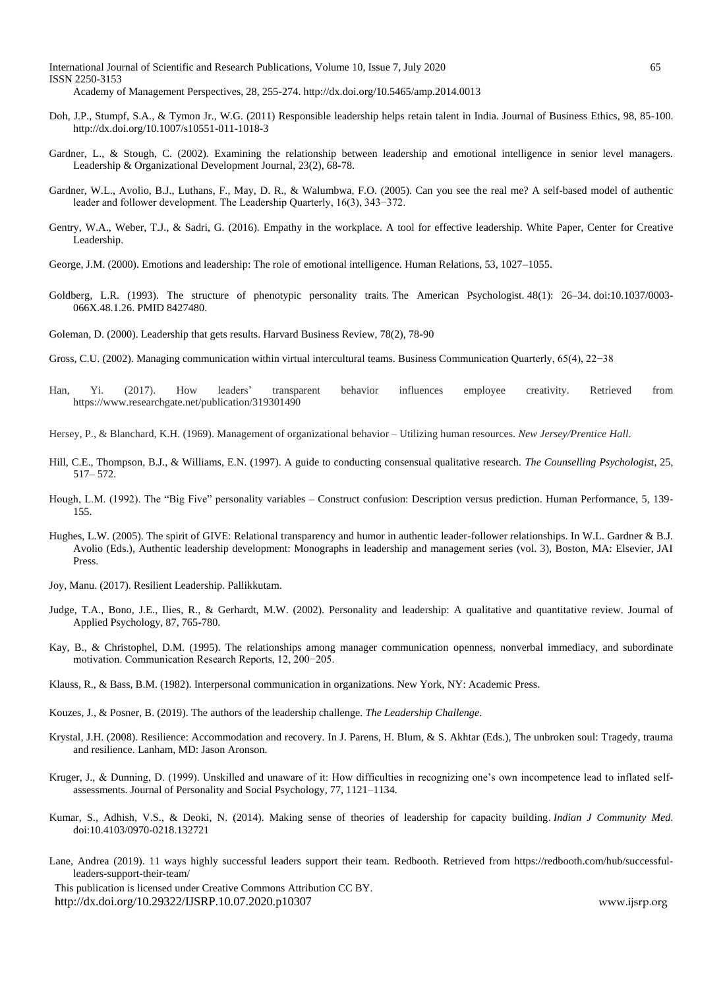International Journal of Scientific and Research Publications, Volume 10, Issue 7, July 2020 65 ISSN 2250-3153

- Academy of Management Perspectives, 28, 255-274[. http://dx.doi.org/10.5465/amp.2014.0013](http://dx.doi.org/10.5465/amp.2014.0013)
- Doh, J.P., Stumpf, S.A., & Tymon Jr., W.G. (2011) Responsible leadership helps retain talent in India. Journal of Business Ethics, 98, 85-100. <http://dx.doi.org/10.1007/s10551-011-1018-3>
- Gardner, L., & Stough, C. (2002). Examining the relationship between leadership and emotional intelligence in senior level managers. Leadership & Organizational Development Journal, 23(2), 68-78.
- Gardner, W.L., Avolio, B.J., Luthans, F., May, D. R., & Walumbwa, F.O. (2005). Can you see the real me? A self-based model of authentic leader and follower development. The Leadership Quarterly, 16(3), 343−372.
- Gentry, W.A., Weber, T.J., & Sadri, G. (2016). Empathy in the workplace. A tool for effective leadership. White Paper, Center for Creative Leadership.
- George, J.M. (2000). Emotions and leadership: The role of emotional intelligence. Human Relations, 53, 1027–1055.
- Goldberg, L.R. (1993). The structure of phenotypic personality traits. The American Psychologist. 48(1): 26–34. [doi](https://en.wikipedia.org/wiki/Doi_(identifier))[:10.1037/0003-](https://doi.org/10.1037%2F0003-066X.48.1.26) [066X.48.1.26.](https://doi.org/10.1037%2F0003-066X.48.1.26) [PMID](https://en.wikipedia.org/wiki/PMID_(identifier)) [8427480.](https://pubmed.ncbi.nlm.nih.gov/8427480)
- Goleman, D. (2000). Leadership that gets results. Harvard Business Review, 78(2), 78-90
- Gross, C.U. (2002). Managing communication within virtual intercultural teams. Business Communication Quarterly, 65(4), 22−38
- Han, Yi. (2017). How leaders' transparent behavior influences employee creativity. Retrieved from https://www.researchgate.net/publication/319301490
- Hersey, P., & Blanchard, K.H. (1969). Management of organizational behavior Utilizing human resources. *New Jersey/Prentice Hall*.
- Hill, C.E., Thompson, B.J., & Williams, E.N. (1997). A guide to conducting consensual qualitative research. *The Counselling Psychologist*, 25, 517– 572.
- Hough, L.M. (1992). The "Big Five" personality variables Construct confusion: Description versus prediction. Human Performance, 5, 139- 155.
- Hughes, L.W. (2005). The spirit of GIVE: Relational transparency and humor in authentic leader-follower relationships. In W.L. Gardner & B.J. Avolio (Eds.), Authentic leadership development: Monographs in leadership and management series (vol. 3), Boston, MA: Elsevier, JAI Press.
- Joy, Manu. (2017). Resilient Leadership. Pallikkutam.
- Judge, T.A., Bono, J.E., Ilies, R., & Gerhardt, M.W. (2002). Personality and leadership: A qualitative and quantitative review. Journal of Applied Psychology, 87, 765-780.
- Kay, B., & Christophel, D.M. (1995). The relationships among manager communication openness, nonverbal immediacy, and subordinate motivation. Communication Research Reports, 12, 200−205.
- Klauss, R., & Bass, B.M. (1982). Interpersonal communication in organizations. New York, NY: Academic Press.
- Kouzes, J., & Posner, B. (2019). The authors of the leadership challenge. *The Leadership Challenge*.
- Krystal, J.H. (2008). Resilience: Accommodation and recovery. In J. Parens, H. Blum, & S. Akhtar (Eds.), The unbroken soul: Tragedy, trauma and resilience. Lanham, MD: Jason Aronson.
- Kruger, J., & Dunning, D. (1999). Unskilled and unaware of it: How difficulties in recognizing one's own incompetence lead to inflated selfassessments. Journal of Personality and Social Psychology, 77, 1121–1134.
- Kumar, S., Adhish, V.S., & Deoki, N. (2014). [Making sense of theories of leadership for capacity building.](https://doi.org/10.4103/0970-0218.132721) *Indian J Community Med*. doi:10.4103/0970-0218.132721
- Lane, Andrea (2019). 11 ways highly successful leaders support their team. Redbooth. Retrieved from [https://redbooth.com/hub/successful](https://redbooth.com/hub/successful-leaders-support-their-team/)[leaders-support-their-team/](https://redbooth.com/hub/successful-leaders-support-their-team/)

 This publication is licensed under Creative Commons Attribution CC BY. <http://dx.doi.org/10.29322/IJSRP.10.07.2020.p10307>[www.ijsrp.org](http://ijsrp.org/)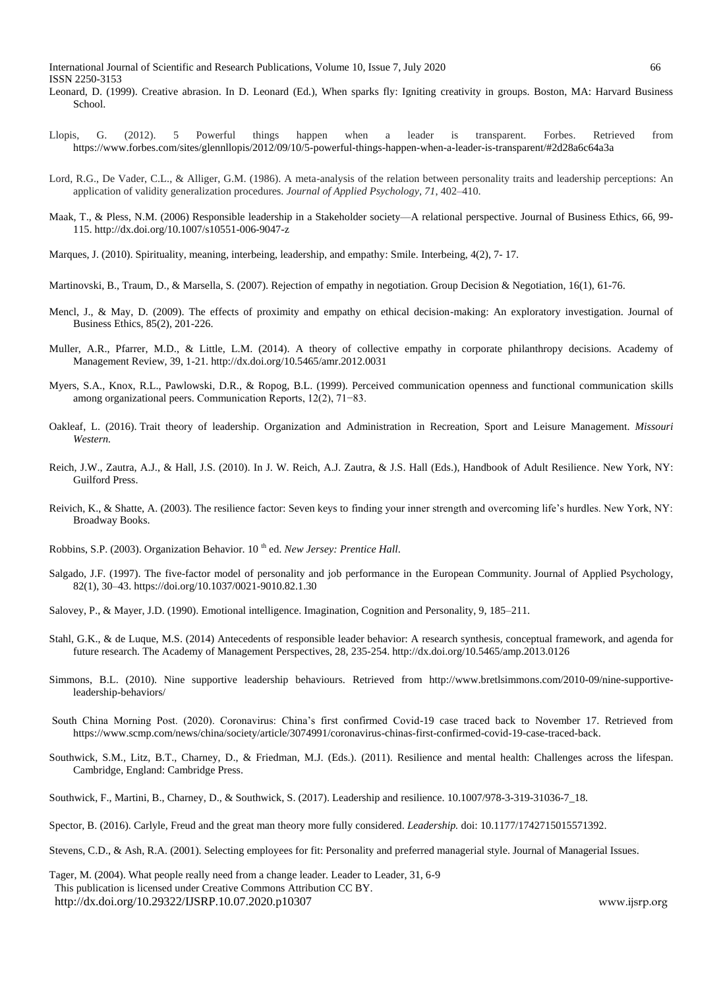- Leonard, D. (1999). Creative abrasion. In D. Leonard (Ed.), When sparks fly: Igniting creativity in groups. Boston, MA: Harvard Business School.
- Llopis, G. (2012). 5 Powerful things happen when a leader is transparent. Forbes. Retrieved from <https://www.forbes.com/sites/glennllopis/2012/09/10/5-powerful-things-happen-when-a-leader-is-transparent/#2d28a6c64a3a>
- Lord, R.G., De Vader, C.L., & Alliger, G.M. (1986). A meta-analysis of the relation between personality traits and leadership perceptions: An application of validity generalization procedures. *Journal of Applied Psychology, 71*, 402–410.
- Maak, T., & Pless, N.M. (2006) Responsible leadership in a Stakeholder society—A relational perspective. Journal of Business Ethics, 66, 99- 115. http://dx.doi.org/10.1007/s10551-006-9047-z
- Marques, J. (2010). Spirituality, meaning, interbeing, leadership, and empathy: Smile. Interbeing, 4(2), 7- 17.
- Martinovski, B., Traum, D., & Marsella, S. (2007). Rejection of empathy in negotiation. Group Decision & Negotiation, 16(1), 61-76.
- Mencl, J., & May, D. (2009). The effects of proximity and empathy on ethical decision-making: An exploratory investigation. Journal of Business Ethics, 85(2), 201-226.
- Muller, A.R., Pfarrer, M.D., & Little, L.M. (2014). A theory of collective empathy in corporate philanthropy decisions. Academy of Management Review, 39, 1-21[. http://dx.doi.org/10.5465/amr.2012.0031](http://dx.doi.org/10.5465/amr.2012.0031)
- Myers, S.A., Knox, R.L., Pawlowski, D.R., & Ropog, B.L. (1999). Perceived communication openness and functional communication skills among organizational peers. Communication Reports, 12(2), 71−83.
- Oakleaf, L. (2016). [Trait theory of leadership.](https://oer.missouriwestern.edu/rsm424/chapter/trait-theory-of-leadership/) Organization and Administration in Recreation, Sport and Leisure Management. *Missouri Western.*
- Reich, J.W., Zautra, A.J., & Hall, J.S. (2010). In J. W. Reich, A.J. Zautra, & J.S. Hall (Eds.), Handbook of Adult Resilience. New York, NY: Guilford Press.
- Reivich, K., & Shatte, A. (2003). The resilience factor: Seven keys to finding your inner strength and overcoming life's hurdles. New York, NY: Broadway Books.
- Robbins, S.P. (2003). Organization Behavior. 10<sup>th</sup> ed. *New Jersey: Prentice Hall*.
- Salgado, J.F. (1997). The five-factor model of personality and job performance in the European Community. Journal of Applied Psychology, 82(1), 30–43. [https://doi.org/10.1037/0021-9010.82.1.30](https://psycnet.apa.org/doi/10.1037/0021-9010.82.1.30)
- Salovey, P., & Mayer, J.D. (1990). Emotional intelligence. Imagination, Cognition and Personality, 9, 185–211.
- Stahl, G.K., & de Luque, M.S. (2014) Antecedents of responsible leader behavior: A research synthesis, conceptual framework, and agenda for future research. The Academy of Management Perspectives, 28, 235-254. http://dx.doi.org/10.5465/amp.2013.0126
- Simmons, B.L. (2010). Nine supportive leadership behaviours. Retrieved from [http://www.bretlsimmons.com/2010-09/nine-supportive](http://www.bretlsimmons.com/2010-09/nine-supportive-leadership-behaviors/)[leadership-behaviors/](http://www.bretlsimmons.com/2010-09/nine-supportive-leadership-behaviors/)
- South China Morning Post. (2020). Coronavirus: China's first confirmed Covid-19 case traced back to November 17. Retrieved from [https://www.scmp.com/news/china/society/article/3074991/coronavirus-chinas-first-confirmed-covid-19-case-traced-back.](https://www.scmp.com/news/china/society/article/3074991/coronavirus-chinas-first-confirmed-covid-19-case-traced-back)
- Southwick, S.M., Litz, B.T., Charney, D., & Friedman, M.J. (Eds.). (2011). Resilience and mental health: Challenges across the lifespan. Cambridge, England: Cambridge Press.
- Southwick, F., Martini, B., Charney, D., & Southwick, S. (2017). Leadership and resilience. 10.1007/978-3-319-31036-7\_18.
- Spector, B. (2016). Carlyle, Freud [and the great man theory more fully considered.](https://doi.org/10.1177/1742715015571392) *Leadership.* doi: 10.1177/1742715015571392.
- Stevens, C.D., & Ash, R.A. (2001). Selecting employees for fit: Personality and preferred managerial style. Journal of Managerial Issues.
- This publication is licensed under Creative Commons Attribution CC BY. <http://dx.doi.org/10.29322/IJSRP.10.07.2020.p10307>[www.ijsrp.org](http://ijsrp.org/) Tager, M. (2004). What people really need from a change leader. Leader to Leader, 31, 6-9